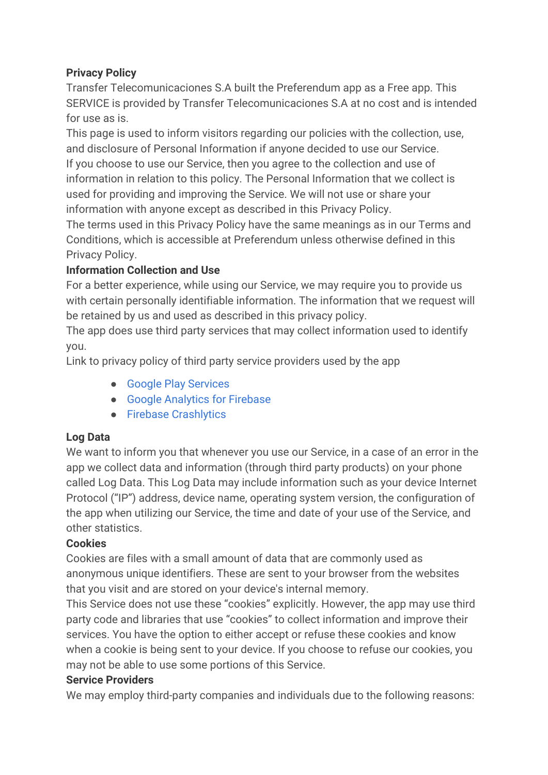# **Privacy Policy**

Transfer Telecomunicaciones S.A built the Preferendum app as a Free app. This SERVICE is provided by Transfer Telecomunicaciones S.A at no cost and is intended for use as is.

This page is used to inform visitors regarding our policies with the collection, use, and disclosure of Personal Information if anyone decided to use our Service. If you choose to use our Service, then you agree to the collection and use of information in relation to this policy. The Personal Information that we collect is used for providing and improving the Service. We will not use or share your information with anyone except as described in this Privacy Policy.

The terms used in this Privacy Policy have the same meanings as in our Terms and Conditions, which is accessible at Preferendum unless otherwise defined in this Privacy Policy.

# **Information Collection and Use**

For a better experience, while using our Service, we may require you to provide us with certain personally identifiable information. The information that we request will be retained by us and used as described in this privacy policy.

The app does use third party services that may collect information used to identify you.

Link to privacy policy of third party service providers used by the app

- [Google Play Services](https://www.google.com/policies/privacy/)
- [Google Analytics for Firebase](https://firebase.google.com/policies/analytics)
- [Firebase Crashlytics](https://firebase.google.com/support/privacy/)

## **Log Data**

We want to inform you that whenever you use our Service, in a case of an error in the app we collect data and information (through third party products) on your phone called Log Data. This Log Data may include information such as your device Internet Protocol ("IP") address, device name, operating system version, the configuration of the app when utilizing our Service, the time and date of your use of the Service, and other statistics.

## **Cookies**

Cookies are files with a small amount of data that are commonly used as anonymous unique identifiers. These are sent to your browser from the websites that you visit and are stored on your device's internal memory.

This Service does not use these "cookies" explicitly. However, the app may use third party code and libraries that use "cookies" to collect information and improve their services. You have the option to either accept or refuse these cookies and know when a cookie is being sent to your device. If you choose to refuse our cookies, you may not be able to use some portions of this Service.

## **Service Providers**

We may employ third-party companies and individuals due to the following reasons: